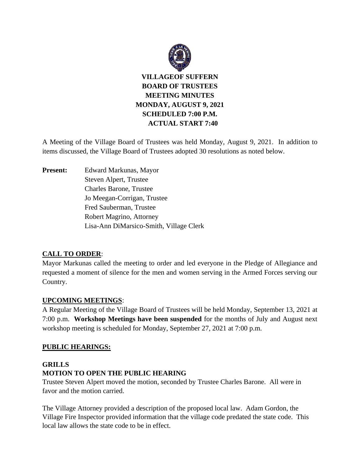

A Meeting of the Village Board of Trustees was held Monday, August 9, 2021. In addition to items discussed, the Village Board of Trustees adopted 30 resolutions as noted below.

**Present:** Edward Markunas, Mayor Steven Alpert, Trustee Charles Barone, Trustee Jo Meegan-Corrigan, Trustee Fred Sauberman, Trustee Robert Magrino, Attorney Lisa-Ann DiMarsico-Smith, Village Clerk

## **CALL TO ORDER**:

Mayor Markunas called the meeting to order and led everyone in the Pledge of Allegiance and requested a moment of silence for the men and women serving in the Armed Forces serving our Country.

## **UPCOMING MEETINGS**:

A Regular Meeting of the Village Board of Trustees will be held Monday, September 13, 2021 at 7:00 p.m. **Workshop Meetings have been suspended** for the months of July and August next workshop meeting is scheduled for Monday, September 27, 2021 at 7:00 p.m.

## **PUBLIC HEARINGS:**

# **GRILLS MOTION TO OPEN THE PUBLIC HEARING**

Trustee Steven Alpert moved the motion, seconded by Trustee Charles Barone. All were in favor and the motion carried.

The Village Attorney provided a description of the proposed local law. Adam Gordon, the Village Fire Inspector provided information that the village code predated the state code. This local law allows the state code to be in effect.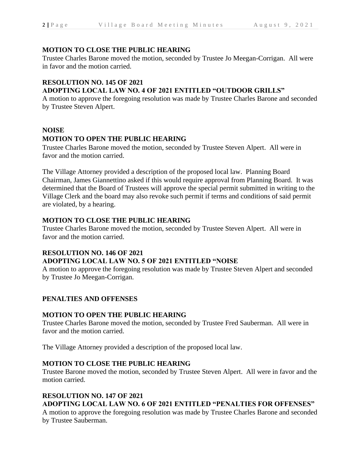## **MOTION TO CLOSE THE PUBLIC HEARING**

Trustee Charles Barone moved the motion, seconded by Trustee Jo Meegan-Corrigan. All were in favor and the motion carried.

## **RESOLUTION NO. 145 OF 2021**

# **ADOPTING LOCAL LAW NO. 4 OF 2021 ENTITLED "OUTDOOR GRILLS"**

A motion to approve the foregoing resolution was made by Trustee Charles Barone and seconded by Trustee Steven Alpert.

### **NOISE**

# **MOTION TO OPEN THE PUBLIC HEARING**

Trustee Charles Barone moved the motion, seconded by Trustee Steven Alpert. All were in favor and the motion carried.

The Village Attorney provided a description of the proposed local law. Planning Board Chairman, James Giannettino asked if this would require approval from Planning Board. It was determined that the Board of Trustees will approve the special permit submitted in writing to the Village Clerk and the board may also revoke such permit if terms and conditions of said permit are violated, by a hearing.

## **MOTION TO CLOSE THE PUBLIC HEARING**

Trustee Charles Barone moved the motion, seconded by Trustee Steven Alpert. All were in favor and the motion carried.

## **RESOLUTION NO. 146 OF 2021**

## **ADOPTING LOCAL LAW NO. 5 OF 2021 ENTITLED "NOISE**

A motion to approve the foregoing resolution was made by Trustee Steven Alpert and seconded by Trustee Jo Meegan-Corrigan.

## **PENALTIES AND OFFENSES**

## **MOTION TO OPEN THE PUBLIC HEARING**

Trustee Charles Barone moved the motion, seconded by Trustee Fred Sauberman. All were in favor and the motion carried.

The Village Attorney provided a description of the proposed local law.

## **MOTION TO CLOSE THE PUBLIC HEARING**

Trustee Barone moved the motion, seconded by Trustee Steven Alpert. All were in favor and the motion carried.

## **RESOLUTION NO. 147 OF 2021**

# **ADOPTING LOCAL LAW NO. 6 OF 2021 ENTITLED "PENALTIES FOR OFFENSES"**

A motion to approve the foregoing resolution was made by Trustee Charles Barone and seconded by Trustee Sauberman.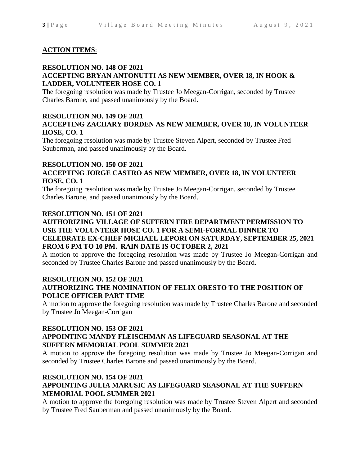### **ACTION ITEMS**:

### **RESOLUTION NO. 148 OF 2021 ACCEPTING BRYAN ANTONUTTI AS NEW MEMBER, OVER 18, IN HOOK & LADDER, VOLUNTEER HOSE CO. 1**

The foregoing resolution was made by Trustee Jo Meegan-Corrigan, seconded by Trustee Charles Barone, and passed unanimously by the Board.

### **RESOLUTION NO. 149 OF 2021 ACCEPTING ZACHARY BORDEN AS NEW MEMBER, OVER 18, IN VOLUNTEER HOSE, CO. 1**

The foregoing resolution was made by Trustee Steven Alpert, seconded by Trustee Fred Sauberman, and passed unanimously by the Board.

### **RESOLUTION NO. 150 OF 2021**

### **ACCEPTING JORGE CASTRO AS NEW MEMBER, OVER 18, IN VOLUNTEER HOSE, CO. 1**

The foregoing resolution was made by Trustee Jo Meegan-Corrigan, seconded by Trustee Charles Barone, and passed unanimously by the Board.

### **RESOLUTION NO. 151 OF 2021**

### **AUTHORIZING VILLAGE OF SUFFERN FIRE DEPARTMENT PERMISSION TO USE THE VOLUNTEER HOSE CO. 1 FOR A SEMI-FORMAL DINNER TO CELEBRATE EX-CHIEF MICHAEL LEPORI ON SATURDAY, SEPTEMBER 25, 2021 FROM 6 PM TO 10 PM. RAIN DATE IS OCTOBER 2, 2021**

A motion to approve the foregoing resolution was made by Trustee Jo Meegan-Corrigan and seconded by Trustee Charles Barone and passed unanimously by the Board.

### **RESOLUTION NO. 152 OF 2021 AUTHORIZING THE NOMINATION OF FELIX ORESTO TO THE POSITION OF POLICE OFFICER PART TIME**

A motion to approve the foregoing resolution was made by Trustee Charles Barone and seconded by Trustee Jo Meegan-Corrigan

### **RESOLUTION NO. 153 OF 2021 APPOINTING MANDY FLEISCHMAN AS LIFEGUARD SEASONAL AT THE SUFFERN MEMORIAL POOL SUMMER 2021**

A motion to approve the foregoing resolution was made by Trustee Jo Meegan-Corrigan and seconded by Trustee Charles Barone and passed unanimously by the Board.

### **RESOLUTION NO. 154 OF 2021 APPOINTING JULIA MARUSIC AS LIFEGUARD SEASONAL AT THE SUFFERN MEMORIAL POOL SUMMER 2021**

A motion to approve the foregoing resolution was made by Trustee Steven Alpert and seconded by Trustee Fred Sauberman and passed unanimously by the Board.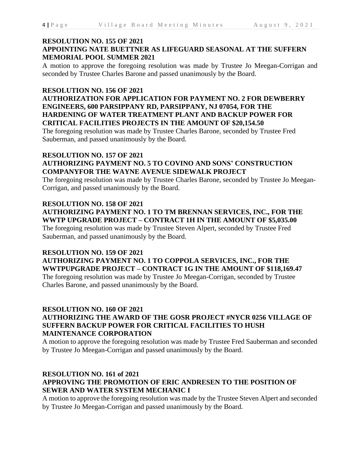### **RESOLUTION NO. 155 OF 2021 APPOINTING NATE BUETTNER AS LIFEGUARD SEASONAL AT THE SUFFERN MEMORIAL POOL SUMMER 2021**

A motion to approve the foregoing resolution was made by Trustee Jo Meegan-Corrigan and seconded by Trustee Charles Barone and passed unanimously by the Board.

### **RESOLUTION NO. 156 OF 2021**

**AUTHORIZATION FOR APPLICATION FOR PAYMENT NO. 2 FOR DEWBERRY ENGINEERS, 600 PARSIPPANY RD, PARSIPPANY, NJ 07054, FOR THE HARDENING OF WATER TREATMENT PLANT AND BACKUP POWER FOR CRITICAL FACILITIES PROJECTS IN THE AMOUNT OF \$20,154.50**

The foregoing resolution was made by Trustee Charles Barone, seconded by Trustee Fred Sauberman, and passed unanimously by the Board.

# **RESOLUTION NO. 157 OF 2021 AUTHORIZING PAYMENT NO. 5 TO COVINO AND SONS' CONSTRUCTION COMPANYFOR THE WAYNE AVENUE SIDEWALK PROJECT**

The foregoing resolution was made by Trustee Charles Barone, seconded by Trustee Jo Meegan-Corrigan, and passed unanimously by the Board.

### **RESOLUTION NO. 158 OF 2021 AUTHORIZING PAYMENT NO. 1 TO TM BRENNAN SERVICES, INC., FOR THE WWTP UPGRADE PROJECT – CONTRACT 1H IN THE AMOUNT OF \$5,035.00**

The foregoing resolution was made by Trustee Steven Alpert, seconded by Trustee Fred Sauberman, and passed unanimously by the Board.

### **RESOLUTION NO. 159 OF 2021**

**AUTHORIZING PAYMENT NO. 1 TO COPPOLA SERVICES, INC., FOR THE WWTPUPGRADE PROJECT – CONTRACT 1G IN THE AMOUNT OF \$118,169.47** The foregoing resolution was made by Trustee Jo Meegan-Corrigan, seconded by Trustee

Charles Barone, and passed unanimously by the Board.

### **RESOLUTION NO. 160 OF 2021 AUTHORIZING THE AWARD OF THE GOSR PROJECT #NYCR 0256 VILLAGE OF SUFFERN BACKUP POWER FOR CRITICAL FACILITIES TO HUSH MAINTENANCE CORPORATION**

A motion to approve the foregoing resolution was made by Trustee Fred Sauberman and seconded by Trustee Jo Meegan-Corrigan and passed unanimously by the Board.

## **RESOLUTION NO. 161 of 2021 APPROVING THE PROMOTION OF ERIC ANDRESEN TO THE POSITION OF SEWER AND WATER SYSTEM MECHANIC I**

A motion to approve the foregoing resolution was made by the Trustee Steven Alpert and seconded by Trustee Jo Meegan-Corrigan and passed unanimously by the Board.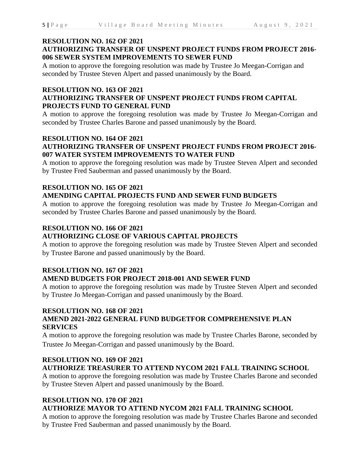#### **RESOLUTION NO. 162 OF 2021**

## **AUTHORIZING TRANSFER OF UNSPENT PROJECT FUNDS FROM PROJECT 2016- 006 SEWER SYSTEM IMPROVEMENTS TO SEWER FUND**

A motion to approve the foregoing resolution was made by Trustee Jo Meegan-Corrigan and seconded by Trustee Steven Alpert and passed unanimously by the Board.

#### **RESOLUTION NO. 163 OF 2021**

### **AUTHORIZING TRANSFER OF UNSPENT PROJECT FUNDS FROM CAPITAL PROJECTS FUND TO GENERAL FUND**

A motion to approve the foregoing resolution was made by Trustee Jo Meegan-Corrigan and seconded by Trustee Charles Barone and passed unanimously by the Board.

### **RESOLUTION NO. 164 OF 2021 AUTHORIZING TRANSFER OF UNSPENT PROJECT FUNDS FROM PROJECT 2016- 007 WATER SYSTEM IMPROVEMENTS TO WATER FUND**

A motion to approve the foregoing resolution was made by Trustee Steven Alpert and seconded by Trustee Fred Sauberman and passed unanimously by the Board.

## **RESOLUTION NO. 165 OF 2021 AMENDING CAPITAL PROJECTS FUND AND SEWER FUND BUDGETS**

A motion to approve the foregoing resolution was made by Trustee Jo Meegan-Corrigan and seconded by Trustee Charles Barone and passed unanimously by the Board.

### **RESOLUTION NO. 166 OF 2021**

## **AUTHORIZING CLOSE OF VARIOUS CAPITAL PROJECTS**

A motion to approve the foregoing resolution was made by Trustee Steven Alpert and seconded by Trustee Barone and passed unanimously by the Board.

### **RESOLUTION NO. 167 OF 2021 AMEND BUDGETS FOR PROJECT 2018-001 AND SEWER FUND**

A motion to approve the foregoing resolution was made by Trustee Steven Alpert and seconded by Trustee Jo Meegan-Corrigan and passed unanimously by the Board.

### **RESOLUTION NO. 168 OF 2021**

## **AMEND 2021-2022 GENERAL FUND BUDGETFOR COMPREHENSIVE PLAN SERVICES**

A motion to approve the foregoing resolution was made by Trustee Charles Barone, seconded by Trustee Jo Meegan-Corrigan and passed unanimously by the Board.

# **RESOLUTION NO. 169 OF 2021**

## **AUTHORIZE TREASURER TO ATTEND NYCOM 2021 FALL TRAINING SCHOOL**

A motion to approve the foregoing resolution was made by Trustee Charles Barone and seconded by Trustee Steven Alpert and passed unanimously by the Board.

## **RESOLUTION NO. 170 OF 2021**

## **AUTHORIZE MAYOR TO ATTEND NYCOM 2021 FALL TRAINING SCHOOL**

A motion to approve the foregoing resolution was made by Trustee Charles Barone and seconded by Trustee Fred Sauberman and passed unanimously by the Board.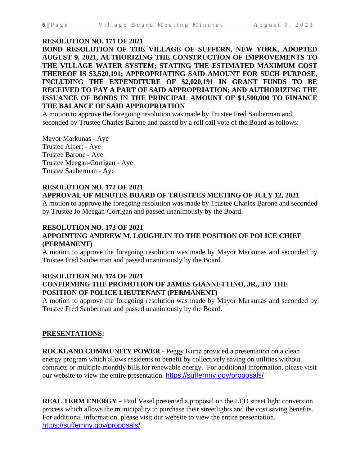#### **RESOLUTION NO. 171 OF 2021**

**BOND RESOLUTION OF THE VILLAGE OF SUFFERN, NEW YORK, ADOPTED AUGUST 9, 2021, AUTHORIZING THE CONSTRUCTION OF IMPROVEMENTS TO THE VILLAGE WATER SYSTEM; STATING THE ESTIMATED MAXIMUM COST THEREOF IS \$3,520,191; APPROPRIATING SAID AMOUNT FOR SUCH PURPOSE, INCLUDING THE EXPENDITURE OF \$2,020,191 IN GRANT FUNDS TO BE RECEIVED TO PAY A PART OF SAID APPROPRIATION; AND AUTHORIZING THE ISSUANCE OF BONDS IN THE PRINCIPAL AMOUNT OF \$1,500,000 TO FINANCE THE BALANCE OF SAID APPROPRIATION**

A motion to approve the foregoing resolution was made by Trustee Fred Sauberman and seconded by Trustee Charles Barone and passed by a roll call vote of the Board as follows:

Mayor Markunas - Aye Trustee Alpert - Aye Trustee Barone - Aye Trustee Meegan-Corrigan - Aye Trustee Sauberman - Aye

### **RESOLUTION NO. 172 OF 2021 APPROVAL OF MINUTES BOARD OF TRUSTEES MEETING OF JULY 12, 2021**

A motion to approve the foregoing resolution was made by Trustee Charles Barone and seconded by Trustee Jo Meegan-Corrigan and passed unanimously by the Board.

#### **RESOLUTION NO. 173 OF 2021**

## **APPOINTING ANDREW M. LOUGHLIN TO THE POSITION OF POLICE CHIEF (PERMANENT)**

A motion to approve the foregoing resolution was made by Mayor Markunas and seconded by Trustee Fred Sauberman and passed unanimously by the Board.

### **RESOLUTION NO. 174 OF 2021 CONFIRMING THE PROMOTION OF JAMES GIANNETTINO, JR., TO THE POSITION OF POLICE LIEUTENANT (PERMANENT)**

A motion to approve the foregoing resolution was made by Mayor Markunas and seconded by Trustee Fred Sauberman and passed unanimously by the Board.

### **PRESENTATIONS:**

**ROCKLAND COMMUNITY POWER** - Peggy Kurtz provided a presentation on a clean energy program which allows residents to benefit by collectively saving on utilities without contracts or multiple monthly bills for renewable energy. For additional information, please visit our website to view the entire presentation. <https://suffernny.gov/proposals/>

**REAL TERM ENERGY** – Paul Vesel presented a proposal on the LED street light conversion process which allows the municipality to purchase their streetlights and the cost saving benefits. For additional information, please visit our website to view the entire presentation. <https://suffernny.gov/proposals/>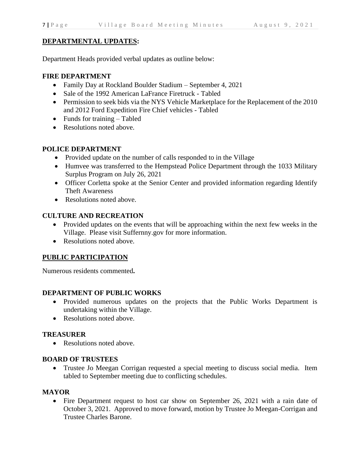## **DEPARTMENTAL UPDATES:**

Department Heads provided verbal updates as outline below:

## **FIRE DEPARTMENT**

- Family Day at Rockland Boulder Stadium September 4, 2021
- Sale of the 1992 American LaFrance Firetruck Tabled
- Permission to seek bids via the NYS Vehicle Marketplace for the Replacement of the 2010 and 2012 Ford Expedition Fire Chief vehicles - Tabled
- Funds for training Tabled
- Resolutions noted above.

# **POLICE DEPARTMENT**

- Provided update on the number of calls responded to in the Village
- Humvee was transferred to the Hempstead Police Department through the 1033 Military Surplus Program on July 26, 2021
- Officer Corletta spoke at the Senior Center and provided information regarding Identify Theft Awareness
- Resolutions noted above.

# **CULTURE AND RECREATION**

- Provided updates on the events that will be approaching within the next few weeks in the Village. Please visit Suffernny.gov for more information.
- Resolutions noted above.

# **PUBLIC PARTICIPATION**

Numerous residents commented**.**

## **DEPARTMENT OF PUBLIC WORKS**

- Provided numerous updates on the projects that the Public Works Department is undertaking within the Village.
- Resolutions noted above.

## **TREASURER**

• Resolutions noted above.

## **BOARD OF TRUSTEES**

• Trustee Jo Meegan Corrigan requested a special meeting to discuss social media. Item tabled to September meeting due to conflicting schedules.

# **MAYOR**

• Fire Department request to host car show on September 26, 2021 with a rain date of October 3, 2021. Approved to move forward, motion by Trustee Jo Meegan-Corrigan and Trustee Charles Barone.